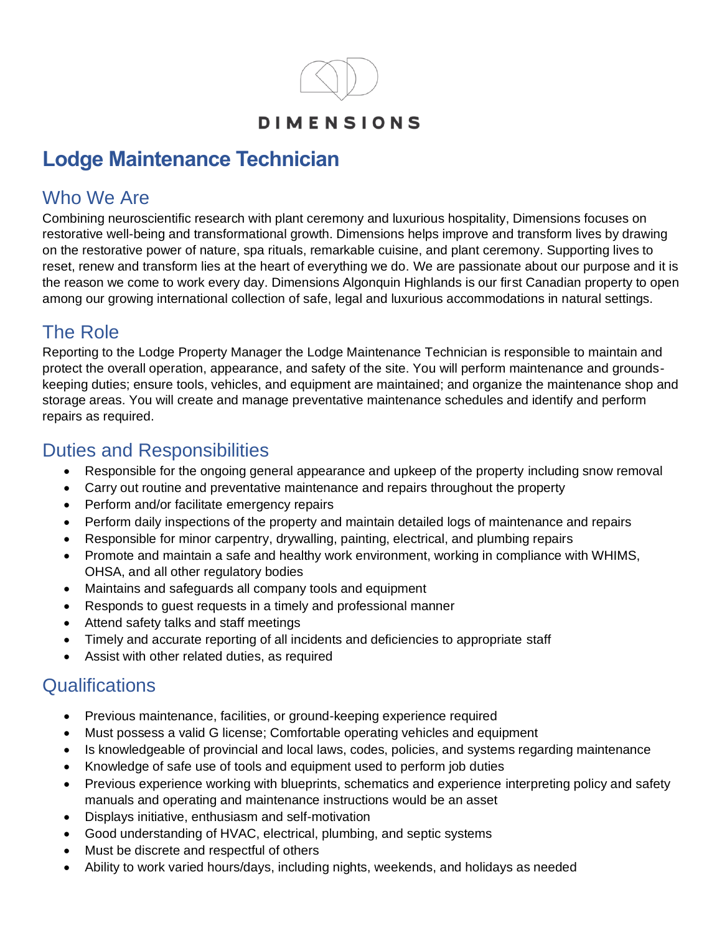

#### **DIMENSIONS**

# **Lodge Maintenance Technician**

### Who We Are

Combining neuroscientific research with plant ceremony and luxurious hospitality, Dimensions focuses on restorative well-being and transformational growth. Dimensions helps improve and transform lives by drawing on the restorative power of nature, spa rituals, remarkable cuisine, and plant ceremony. Supporting lives to reset, renew and transform lies at the heart of everything we do. We are passionate about our purpose and it is the reason we come to work every day. Dimensions Algonquin Highlands is our first Canadian property to open among our growing international collection of safe, legal and luxurious accommodations in natural settings.

# The Role

Reporting to the Lodge Property Manager the Lodge Maintenance Technician is responsible to maintain and protect the overall operation, appearance, and safety of the site. You will perform maintenance and groundskeeping duties; ensure tools, vehicles, and equipment are maintained; and organize the maintenance shop and storage areas. You will create and manage preventative maintenance schedules and identify and perform repairs as required.

#### Duties and Responsibilities

- Responsible for the ongoing general appearance and upkeep of the property including snow removal
- Carry out routine and preventative maintenance and repairs throughout the property
- Perform and/or facilitate emergency repairs
- Perform daily inspections of the property and maintain detailed logs of maintenance and repairs
- Responsible for minor carpentry, drywalling, painting, electrical, and plumbing repairs
- Promote and maintain a safe and healthy work environment, working in compliance with WHIMS, OHSA, and all other regulatory bodies
- Maintains and safeguards all company tools and equipment
- Responds to guest requests in a timely and professional manner
- Attend safety talks and staff meetings
- Timely and accurate reporting of all incidents and deficiencies to appropriate staff
- Assist with other related duties, as required

# **Qualifications**

- Previous maintenance, facilities, or ground-keeping experience required
- Must possess a valid G license; Comfortable operating vehicles and equipment
- Is knowledgeable of provincial and local laws, codes, policies, and systems regarding maintenance
- Knowledge of safe use of tools and equipment used to perform job duties
- Previous experience working with blueprints, schematics and experience interpreting policy and safety manuals and operating and maintenance instructions would be an asset
- Displays initiative, enthusiasm and self-motivation
- Good understanding of HVAC, electrical, plumbing, and septic systems
- Must be discrete and respectful of others
- Ability to work varied hours/days, including nights, weekends, and holidays as needed